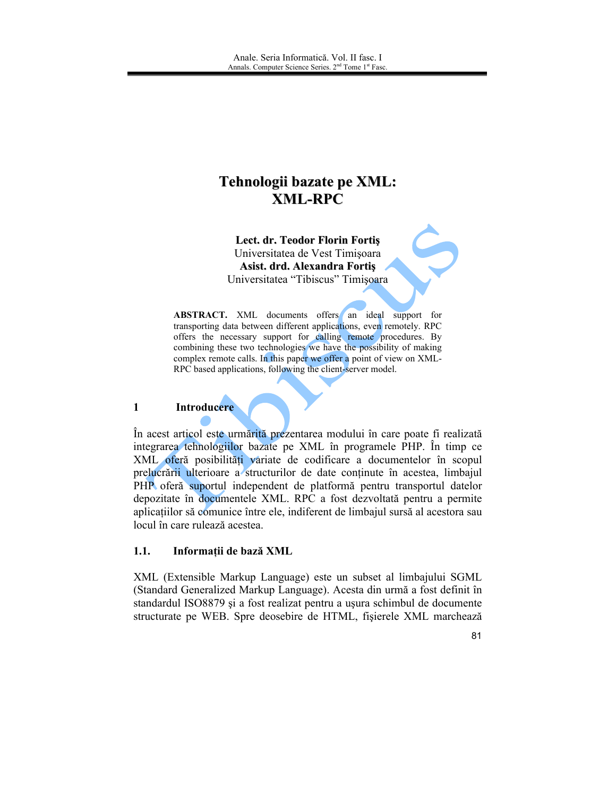# Tehnologii bazate pe XML: **XML-RPC**

Lect. dr. Teodor Florin Fortis Universitatea de Vest Timișoara Asist. drd. Alexandra Fortis Universitatea "Tibiscus" Timișoara

ABSTRACT. XML documents offers an ideal support for transporting data between different applications, even remotely. RPC offers the necessary support for calling remote procedures. By combining these two technologies we have the possibility of making complex remote calls. In this paper we offer a point of view on XML-RPC based applications, following the client-server model.

#### $\mathbf{1}$ Introducere

În acest articol este urmărită prezentarea modului în care poate fi realizată integrarea tehnologiilor bazate pe XML în programele PHP. În timp ce XML oferă posibilități variate de codificare a documentelor în scopul prelucrării ulterioare a structurilor de date continute în acestea, limbajul PHP oferă suportul independent de platformă pentru transportul datelor depozitate în documentele XML. RPC a fost dezvoltată pentru a permite aplicatiilor să comunice între ele, indiferent de limbajul sursă al acestora sau locul în care rulează acestea.

#### $1.1.$ Informații de bază XML

XML (Extensible Markup Language) este un subset al limbajului SGML (Standard Generalized Markup Language). Acesta din urmă a fost definit în standardul ISO8879 și a fost realizat pentru a usura schimbul de documente structurate pe WEB. Spre deosebire de HTML, fișierele XML marchează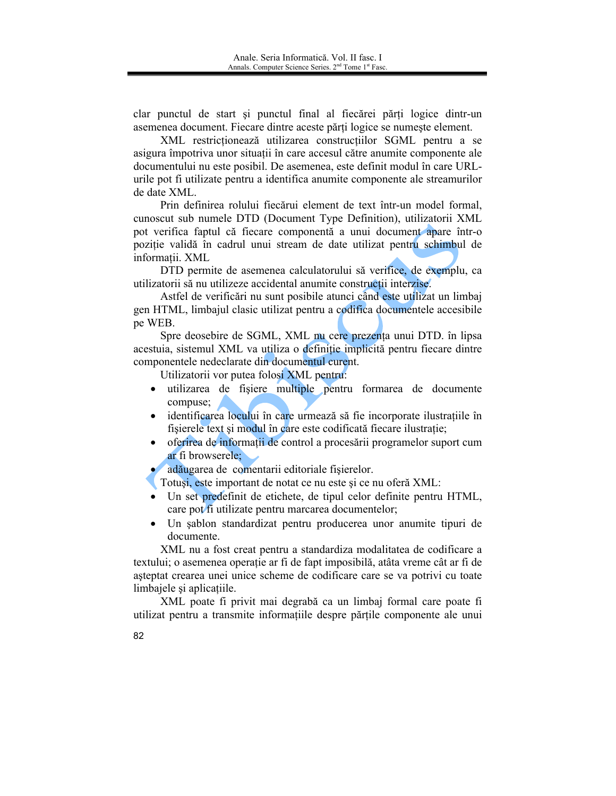clar punctul de start și punctul final al fiecărei părți logice dintr-un asemenea document. Fiecare dintre aceste părți logice se numește element.

XML restrictionează utilizarea construcțiilor SGML pentru a se asigura împotriva unor situații în care accesul către anumite componente ale documentului nu este posibil. De asemenea, este definit modul în care URLurile pot fi utilizate pentru a identifica anumite componente ale streamurilor de date XML.

Prin definirea rolului fiecărui element de text într-un model formal, cunoscut sub numele DTD (Document Type Definition), utilizatorii XML pot verifica faptul că fiecare componentă a unui document apare într-o poziție validă în cadrul unui stream de date utilizat pentru schimbul de informatii. XML

DTD permite de asemenea calculatorului să verifice, de exemplu, ca utilizatorii să nu utilizeze accidental anumite construcții interzise.

Astfel de verificări nu sunt posibile atunci când este utilizat un limbaj gen HTML, limbajul clasic utilizat pentru a codifica documentele accesibile pe WEB.

Spre deosebire de SGML, XML nu cere prezența unui DTD. în lipsa acestuia, sistemul XML va utiliza o definiție implicită pentru fiecare dintre componentele nedeclarate din documentul curent.

Utilizatorii vor putea folosi XML pentru:

- utilizarea de fișiere multiple pentru formarea de documente  $\bullet$ compuse;
- identificarea locului în care urmează să fie incorporate ilustratiile în fisierele text și modul în care este codificată fiecare ilustrație;
- oferirea de informații de control a procesării programelor suport cum  $\bullet$ ar fi browserele:
- adăugarea de comentarii editoriale fișierelor.

Totuși, este important de notat ce nu este și ce nu oferă XML.

- Un set predefinit de etichete, de tipul celor definite pentru HTML, care pot fi utilizate pentru marcarea documentelor;
- Un sablon standardizat pentru producerea unor anumite tipuri de documente.

XML nu a fost creat pentru a standardiza modalitatea de codificare a textului; o asemenea operație ar fi de fapt imposibilă, atâta vreme cât ar fi de asteptat crearea unei unice scheme de codificare care se va potrivi cu toate limbajele și aplicațiile.

XML poate fi privit mai degrabă ca un limbaj formal care poate fi utilizat pentru a transmite informațiile despre părțile componente ale unui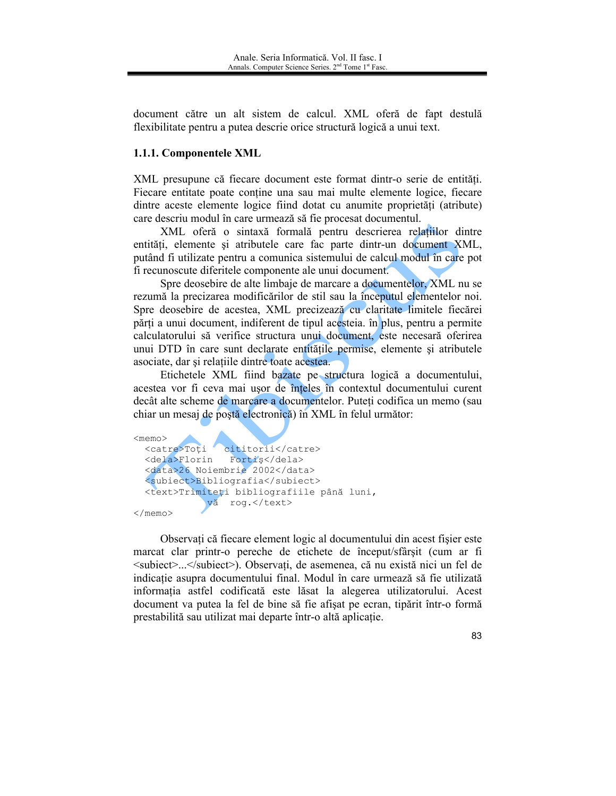document către un alt sistem de calcul. XML oferă de fapt destulă flexibilitate pentru a putea descrie orice structură logică a unui text.

# 1.1.1. Componentele XML

XML presupune că fiecare document este format dintr-o serie de entități. Fiecare entitate poate contine una sau mai multe elemente logice, fiecare dintre aceste elemente logice fiind dotat cu anumite proprietăti (atribute) care descriu modul în care urmează să fie procesat documentul.

XML oferă o sintaxă formală pentru descrierea relațiilor dintre entități, elemente și atributele care fac parte dintr-un document XML, putând fi utilizate pentru a comunica sistemului de calcul modul în care pot fi recunoscute diferitele componente ale unui document.

Spre deosebire de alte limbaje de marcare a documentelor. XML nu se rezumă la precizarea modificărilor de stil sau la începutul elementelor noi. Spre deosebire de acestea, XML precizează cu claritate limitele fiecărei părți a unui document, indiferent de tipul acesteia. în plus, pentru a permite calculatorului să verifice structura unui document, este necesară oferirea unui DTD în care sunt declarate entitățile permise, elemente și atributele asociate, dar și relațiile dintre toate acestea.

Etichetele XML fiind bazate pe structura logică a documentului, acestea vor fi ceva mai usor de înteles în contextul documentului curent decât alte scheme de marcare a documentelor. Puteți codifica un memo (sau chiar un mesaj de poștă electronică) în XML în felul următor:



Observați că fiecare element logic al documentului din acest fișier este marcat clar printr-o pereche de etichete de început/sfârșit (cum ar fi <subiect>...</subiect>). Observati, de asemenea, că nu există nici un fel de indicatie asupra documentului final. Modul în care urmează să fie utilizată informația astfel codificată este lăsat la alegerea utilizatorului. Acest document va putea la fel de bine să fie afisat pe ecran, tipărit într-o formă prestabilită sau utilizat mai departe într-o altă aplicație.

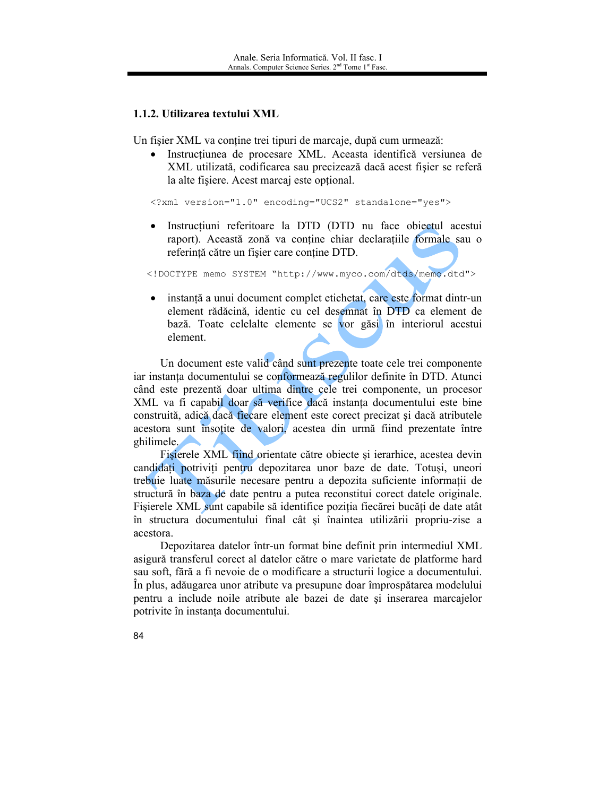### 1.1.2. Utilizarea textului XML

Un fisier XML va contine trei tipuri de marcaje, după cum urmează:

· Instructiunea de procesare XML. Aceasta identifică versiunea de XML utilizată, codificarea sau precizează dacă acest fisier se referă la alte fisiere. Acest marcaj este optional.

<?xml version="1.0" encoding="UCS2" standalone="yes">

· Instrucțiuni referitoare la DTD (DTD nu face obiectul acestui raport). Această zonă va conține chiar declaratiile formale sau o referintă către un fisier care contine DTD.

<!DOCTYPE memo SYSTEM "http://www.myco.com/dtds/memo.dtd">

· instanță a unui document complet etichetat, care este format dintr-un element rădăcină, identic cu cel desemnat în DTD ca element de bază. Toate celelalte elemente se vor găsi în interiorul acestui element.

Un document este valid când sunt prezente toate cele trei componente iar instanța documentului se conformează regulilor definite în DTD. Atunci când este prezentă doar ultima dintre cele trei componente, un procesor XML va fi capabil doar să verifice dacă instanța documentului este bine construită, adică dacă fiecare element este corect precizat și dacă atributele acestora sunt însoțite de valori, acestea din urmă fiind prezentate între ghilimele.

Fisierele XML fiind orientate către obiecte și ierarhice, acestea devin candidați potriviți pentru depozitarea unor baze de date. Totuși, uneori trebuie luate măsurile necesare pentru a depozita suficiente informații de structură în baza de date pentru a putea reconstitui corect datele originale. Fișierele XML sunt capabile să identifice poziția fiecărei bucăți de date atât în structura documentului final cât și înaintea utilizării propriu-zise a acestora.

Depozitarea datelor într-un format bine definit prin intermediul XML asigură transferul corect al datelor către o mare varietate de platforme hard sau soft, fără a fi nevoie de o modificare a structurii logice a documentului. În plus, adăugarea unor atribute va presupune doar împrospătarea modelului pentru a include noile atribute ale bazei de date și inserarea marcajelor potrivite în instanța documentului.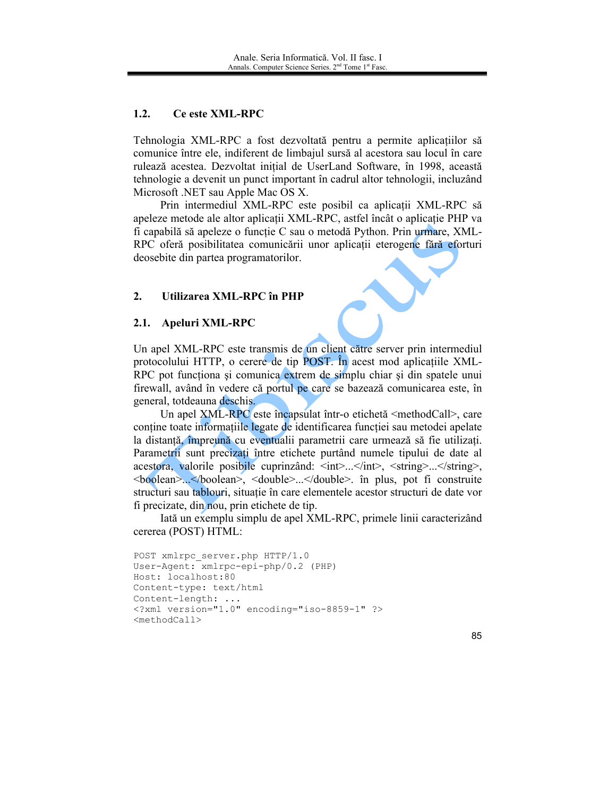### $1.2.$ **Ce este XML-RPC**

Tehnologia XML-RPC a fost dezvoltată pentru a permite aplicațiilor să comunice între ele, indiferent de limbajul sursă al acestora sau locul în care rulează acestea. Dezvoltat inițial de UserLand Software, în 1998, această tehnologie a devenit un punct important în cadrul altor tehnologii, incluzând Microsoft .NET sau Apple Mac OS X.

Prin intermediul XML-RPC este posibil ca aplicatii XML-RPC să apeleze metode ale altor aplicații XML-RPC, astfel încât o aplicație PHP va fi capabilă să apeleze o funcție C sau o metodă Python. Prin urmare, XML-RPC oferă posibilitatea comunicării unor aplicații eterogene fără eforturi deosebite din partea programatorilor.

### $2.$ Utilizarea XML-RPC în PHP

# 2.1. Apeluri XML-RPC

Un apel XML-RPC este transmis de un client către server prin intermediul protocolului HTTP, o cerere de tip POST. In acest mod aplicatiile XML-RPC pot functiona și comunica extrem de simplu chiar și din spatele unui firewall, având în vedere că portul pe care se bazează comunicarea este, în general, tot deauna deschis.

Un apel XML-RPC este încapsulat într-o etichetă <methodCall>, care contine toate informatiile legate de identificarea functiei sau metodei apelate la distanță, împreună cu eventualii parametrii care urmează să fie utilizați. Parametrii sunt precizați între etichete purtând numele tipului de date al acestora, valorile posibile cuprinzând: <int>...</int>, <string>...</string>, <boolean>...</boolean>, <double>...</double>... în plus, pot fi construite structuri sau tablouri, situație în care elementele acestor structuri de date vor fi precizate, din nou, prin etichete de tip.

Iată un exemplu simplu de apel XML-RPC, primele linii caracterizând cererea (POST) HTML:

```
POST xmlrpc server.php HTTP/1.0
User-Agent: xmlrpc-epi-php/0.2 (PHP)
Host: localhost:80
Content-type: text/html
Content-length: ...
<?xml version="1.0" encoding="iso-8859-1" ?>
<methodCall>
```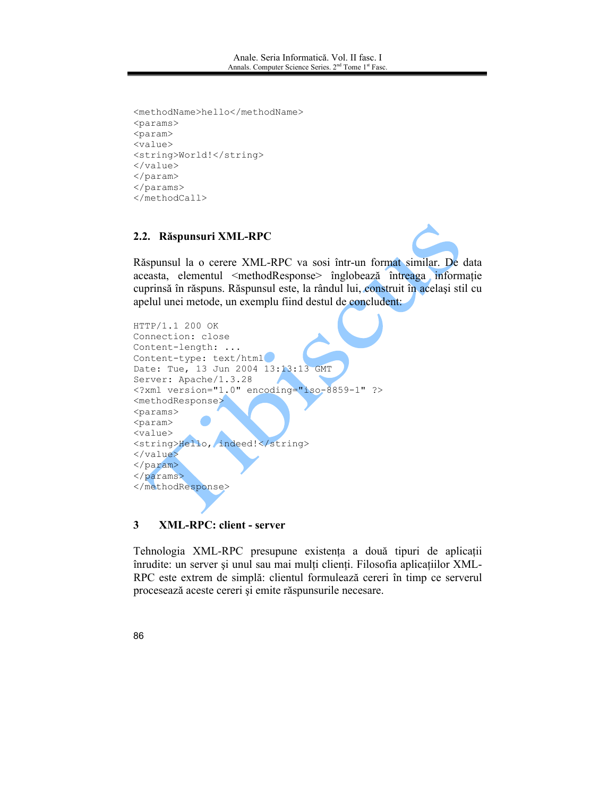```
<methodName>hello</methodName>
<params>
<param>
<value>
<string>World!</string>
</value>
</param>
</params>
</methodCall>
```
### 2.2. Răspunsuri XML-RPC



Răspunsul la o cerere XML-RPC va sosi într-un format similar. De data aceasta, elementul <methodResponse> înglobează întreaga informație cuprinsă în răspuns. Răspunsul este, la rândul lui, construit în același stil cu apelul unei metode, un exemplu fiind destul de concludent:



### 3 **XML-RPC: client - server**

Tehnologia XML-RPC presupune existența a două tipuri de aplicații înrudite: un server și unul sau mai mulți clienți. Filosofia aplicațiilor XML-RPC este extrem de simplă: clientul formulează cereri în timp ce serverul procesează aceste cereri și emite răspunsurile necesare.

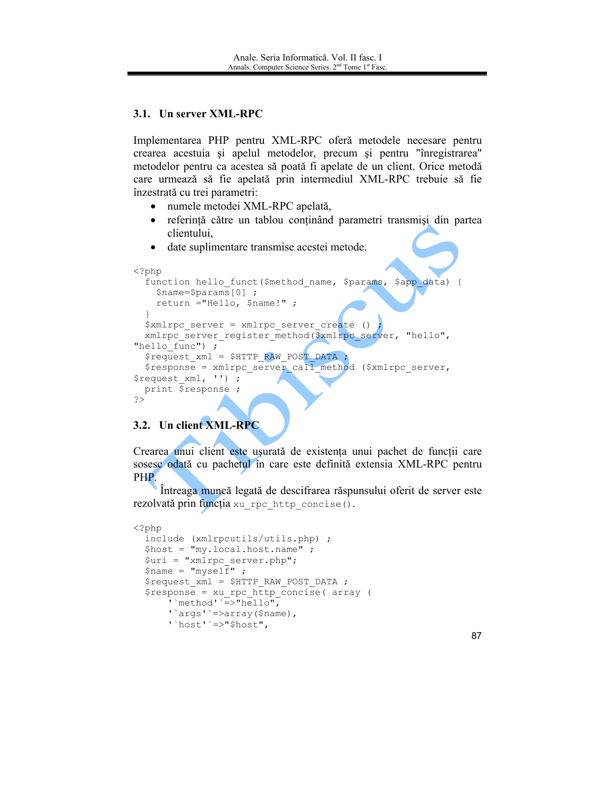# 3.1. Un server XML-RPC

Implementarea PHP pentru XML-RPC oferă metodele necesare pentru crearea acestuia și apelul metodelor, precum și pentru "înregistrarea" metodelor pentru ca acestea să poată fi apelate de un client. Orice metodă care urmează să fie apelată prin intermediul XML-RPC trebuie să fie înzestrată cu trei parametri:

- numele metodei XML-RPC apelată,
- referință către un tablou conținând parametri transmiși din partea  $\bullet$ clientului,
- date suplimentare transmise acestei metode.

```
\langle?php
  function hello_funct($method_name, $params, $app_data) {
    $name=$params[0] ;
    return ="Hello, $name!";
  $xmlrpc server = xmlrpc server create ()xmlrpc server register method ($xmlrpc server, "hello",
"hello func") ;
  \frac{1}{2} request xml = $HTTP RAW POST DATA ;
  $response = xmlrpc server call method ($xmlrpc server,
$request_xml, '') ;
 print $response ;
\rightarrow
```
# 3.2. Un client XML-RPC

Crearea unui client este usurată de existența unui pachet de funcții care sosescodată cu pachetul în care este definită extensia XML-RPC pentru PHP.

Intreaga muncă legată de descifrarea răspunsului oferit de server este rezolvată prin funcția xu rpc http concise ().

```
\langle?php
  include (xmlrpcutils/utils.php) ;
  $host = "my.local.host.name" ;
  \text{Suri} = \text{"xmlrpc server.php";$name = "myself" ;
  $request xml = $HTTP RAW POST DATA ;
  $response = xu rpc http concise( array (
       ' `method' = >"hello",
       ''args''=>array($name),
       \overline{\text{host}}' =>"$host",
```